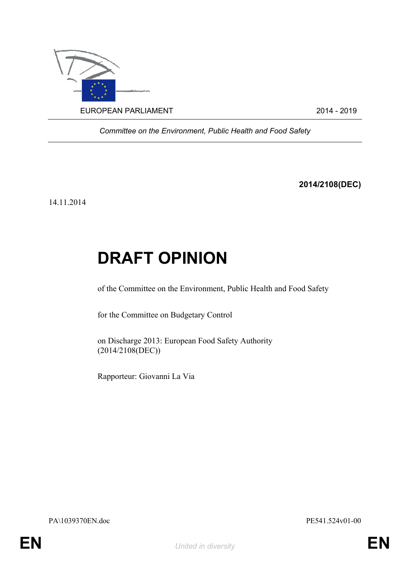

*Committee on the Environment, Public Health and Food Safety*

**2014/2108(DEC)**

14.11.2014

## **DRAFT OPINION**

of the Committee on the Environment, Public Health and Food Safety

for the Committee on Budgetary Control

on Discharge 2013: European Food Safety Authority (2014/2108(DEC))

<span id="page-0-0"></span>Rapporteur: Giovanni La Via

<span id="page-0-1"></span>PA\1039370EN.doc PE541.524v01-00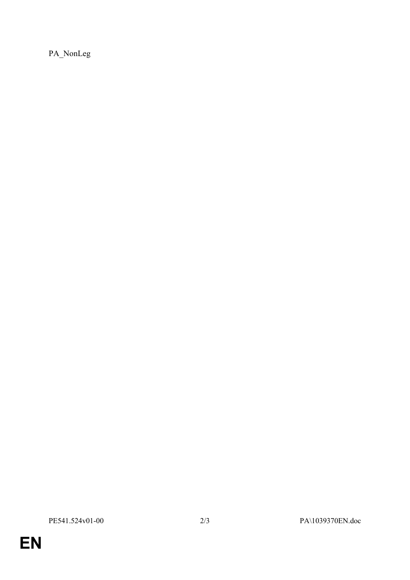PA\_NonLeg

EN